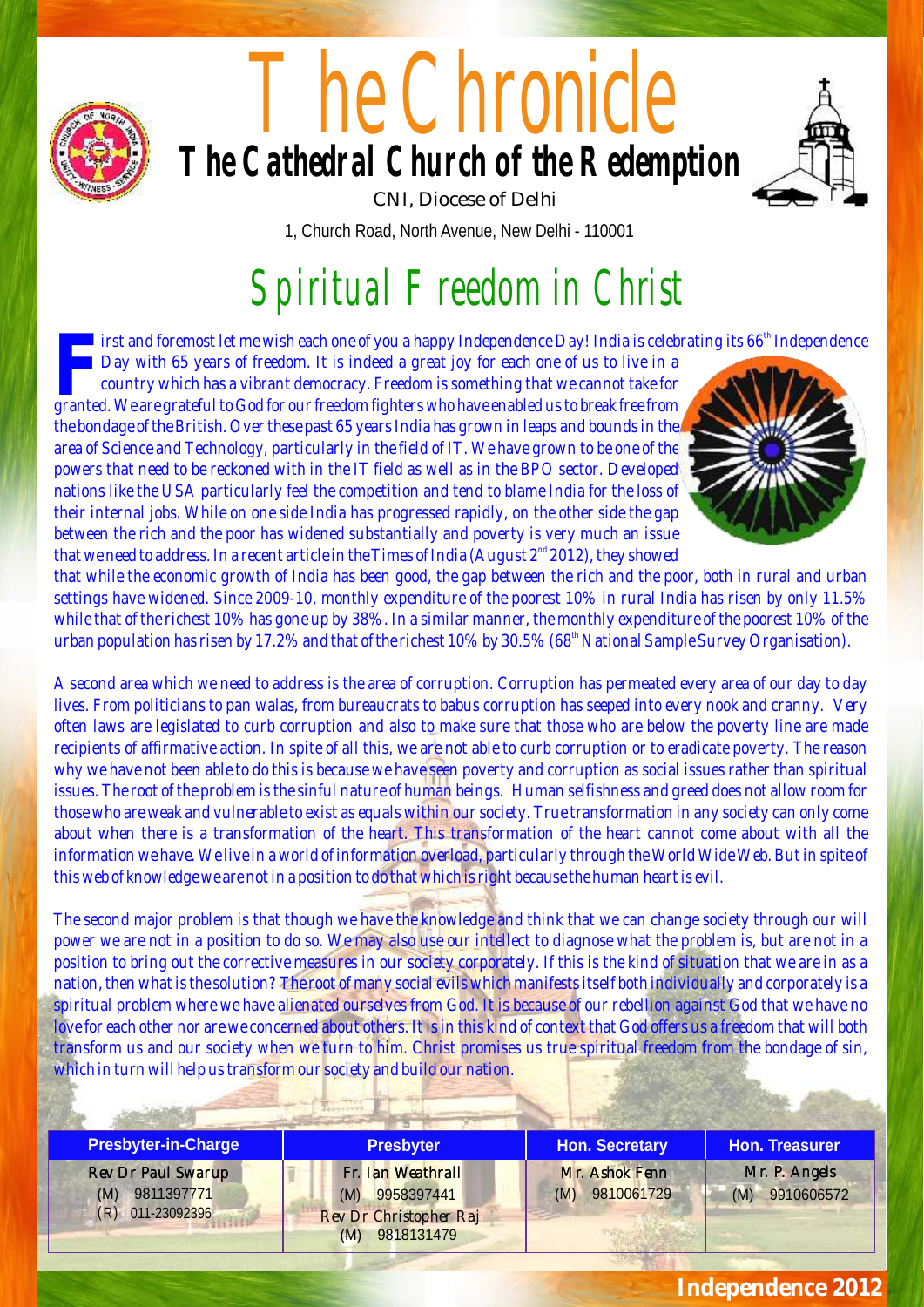

# The Chronicle **The Cathedral Church of the Redemption** CNI, Diocese of Delhi



1, Church Road, North Avenue, New Delhi - 110001

# Spiritual Freedom in Christ

*the irst and foremost let me wish each one of you a happy Independence Day! India is celebrating its 66<sup>th</sup> Independence* 

*Day with 65 years of freedom. It is indeed a great joy for each one of us to live in a country which has a vibrant democracy. Freedom is something that we cannot take for granted. We are grateful to God for our freedom fighters who have enabled us to break free from the bondage of the British. Over these past 65 years India has grown in leaps and bounds in the area of Science and Technology, particularly in the field of IT. We have grown to be one of the powers that need to be reckoned with in the IT field as well as in the BPO sector. Developed nations like the USA particularly feel the competition and tend to blame India for the loss of their internal jobs. While on one side India has progressed rapidly, on the other side the gap between the rich and the poor has widened substantially and poverty is very much an issue that we need to address. In a recent article in the Times of India (August 2<sup>nd</sup> 2012), they showed* 



*that while the economic growth of India has been good, the gap between the rich and the poor, both in rural and urban settings have widened. Since 2009-10, monthly expenditure of the poorest 10% in rural India has risen by only 11.5% while that of the richest 10% has gone up by 38%. In a similar manner, the monthly expenditure of the poorest 10% of the than population has risen by 17.2% and that of the richest 10% by 30.5% (68<sup>th</sup> National Sample Survey Organisation).* 

*A second area which we need to address is the area of corruption. Corruption has permeated every area of our day to day lives. From politicians to pan walas, from bureaucrats to babus corruption has seeped into every nook and cranny. Very often laws are legislated to curb corruption and also to make sure that those who are below the poverty line are made recipients of affirmative action. In spite of all this, we are not able to curb corruption or to eradicate poverty. The reason why we have not been able to do this is because we have seen poverty and corruption as social issues rather than spiritual issues. The root of the problem is the sinful nature of human beings. Human selfishness and greed does not allow room for those who are weak and vulnerable to exist as equals within our society. True transformation in any society can only come about when there is a transformation of the heart. This transformation of the heart cannot come about with all the information we have. We live in a world of information overload, particularly through the World Wide Web. But in spite of this web of knowledge we are not in a position to do that which is right because the human heart is evil.* 

*The second major problem is that though we have the knowledge and think that we can change society through our will power we are not in a position to do so. We may also use our intellect to diagnose what the problem is, but are not in a position to bring out the corrective measures in our society corporately. If this is the kind of situation that we are in as a nation, then what is the solution? The root of many social evils which manifests itself both individually and corporately is a spiritual problem where we have alienated ourselves from God. It is because of our rebellion against God that we have no love for each other nor are we concerned about others. It is in this kind of context that God offers us a freedom that will both transform us and our society when we turn to him. Christ promises us true spiritual freedom from the bondage of sin, which in turn will help us transform our society and build our nation.* 

| Presbyter-in-Charge                                          | Presbyter                                                                         | Hon. Secretary                     | Hon. Treasurer                    |
|--------------------------------------------------------------|-----------------------------------------------------------------------------------|------------------------------------|-----------------------------------|
| Rev Dr Paul Swarup<br>$(M)$ 9811397771<br>$(R)$ 011-23092396 | Fr. Ian Weathrall<br>$(M)$ 9958397441<br>Rev Dr Christopher Raj<br>(M) 9818131479 | Mr. Ashok Fenn<br>$(M)$ 9810061729 | Mr. P. Angels<br>$(M)$ 9910606572 |

### *Independence 2012*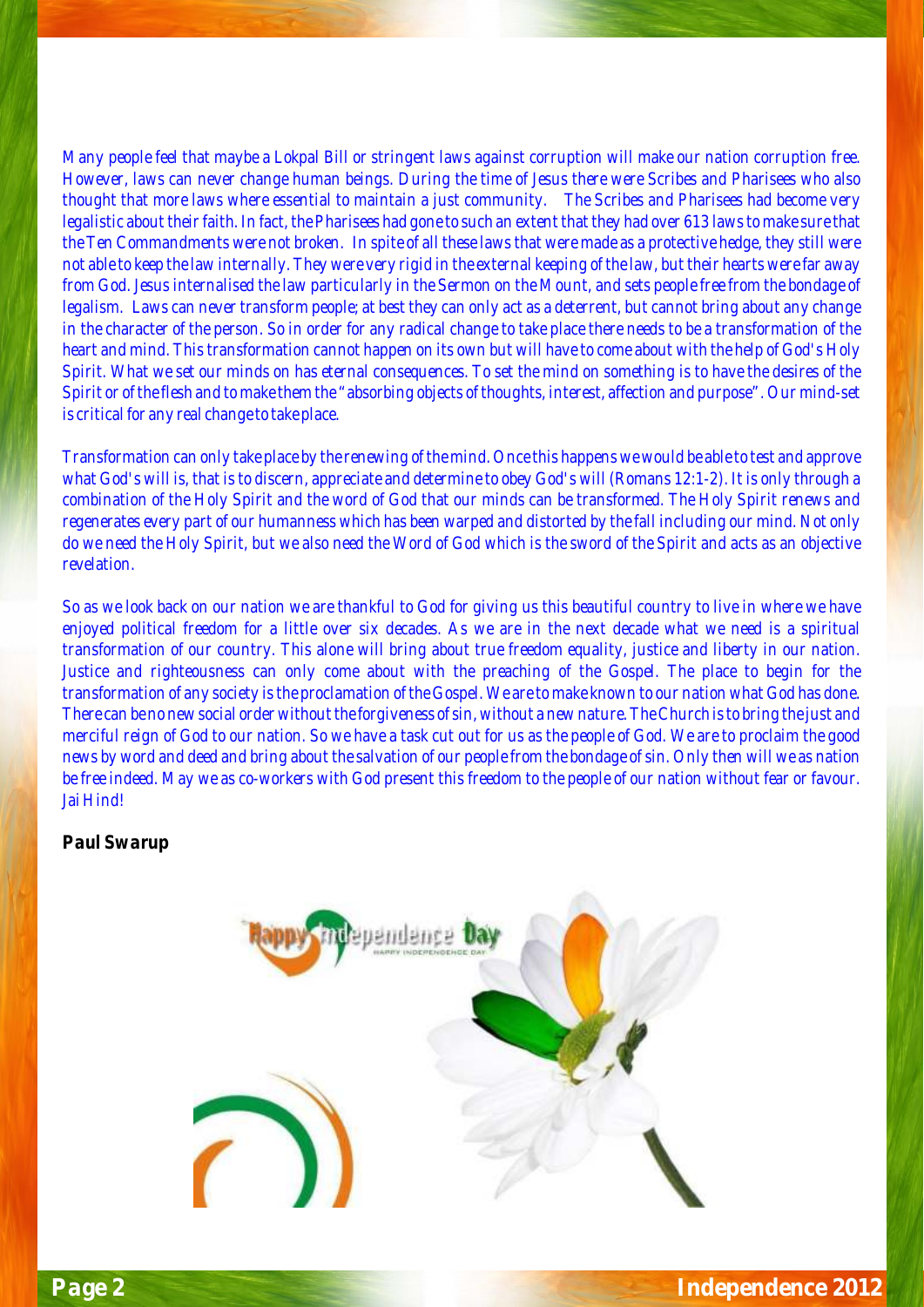*Many people feel that maybe a Lokpal Bill or stringent laws against corruption will make our nation corruption free. However, laws can never change human beings. During the time of Jesus there were Scribes and Pharisees who also thought that more laws where essential to maintain a just community. The Scribes and Pharisees had become very legalistic about their faith. In fact, the Pharisees had gone to such an extent that they had over 613 laws to make sure that the Ten Commandments were not broken. In spite of all these laws that were made as a protective hedge, they still were not able to keep the law internally. They were very rigid in the external keeping of the law, but their hearts were far away from God. Jesus internalised the law particularly in the Sermon on the Mount, and sets people free from the bondage of legalism. Laws can never transform people; at best they can only act as a deterrent, but cannot bring about any change in the character of the person. So in order for any radical change to take place there needs to be a transformation of the heart and mind. This transformation cannot happen on its own but will have to come about with the help of God's Holy Spirit. What we set our minds on has eternal consequences. To set the mind on something is to have the desires of the Spirit or of the flesh and to make them the "absorbing objects of thoughts, interest, affection and purpose". Our mind-set is critical for any real change to take place.* 

*Transformation can only take place by the renewing of the mind. Once this happens we would be able to test and approve what God's will is, that is to discern, appreciate and determine to obey God's will (Romans 12:1-2). It is only through a combination of the Holy Spirit and the word of God that our minds can be transformed. The Holy Spirit renews and regenerates every part of our humanness which has been warped and distorted by the fall including our mind. Not only do we need the Holy Spirit, but we also need the Word of God which is the sword of the Spirit and acts as an objective revelation.* 

*So as we look back on our nation we are thankful to God for giving us this beautiful country to live in where we have enjoyed political freedom for a little over six decades. As we are in the next decade what we need is a spiritual transformation of our country. This alone will bring about true freedom equality, justice and liberty in our nation. Justice and righteousness can only come about with the preaching of the Gospel. The place to begin for the transformation of any society is the proclamation of the Gospel. We are to make known to our nation what God has done. There can be no new social order without the forgiveness of sin, without a new nature. The Church is to bring the just and merciful reign of God to our nation. So we have a task cut out for us as the people of God. We are to proclaim the good news by word and deed and bring about the salvation of our people from the bondage of sin. Only then will we as nation be free indeed. May we as co-workers with God present this freedom to the people of our nation without fear or favour. Jai Hind!* 

#### *Paul Swarup*

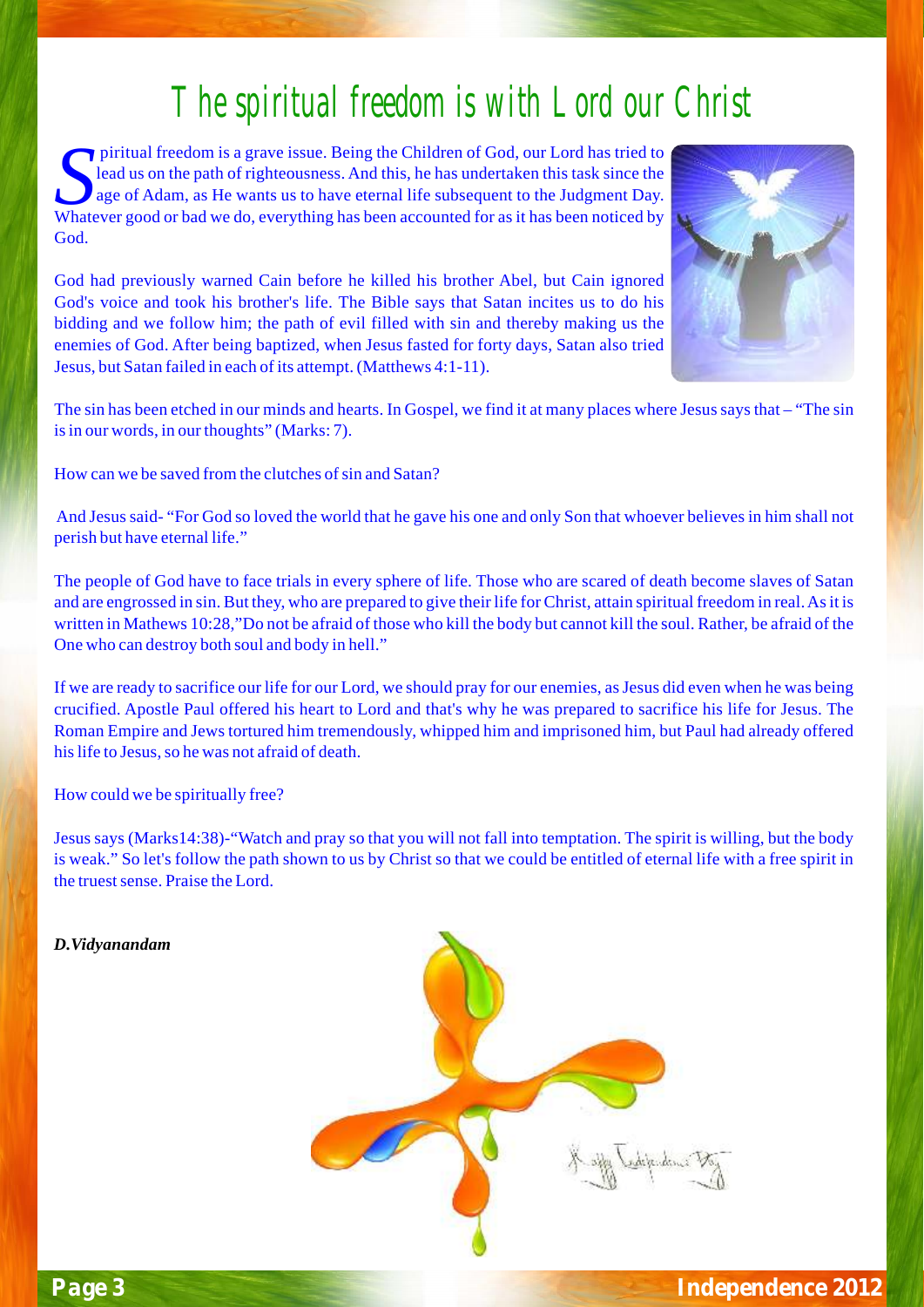### The spiritual freedom is with Lord our Christ

piritual freedom is a grave issue. Being the Children of God, our Lord has tried to lead us on the path of righteousness. And this, he has undertaken this task since the *age* of Adam, as He wants us to have eternal life subsequent to the Judgment Day. Whatever good or bad we do, everything has been accounted for as it has been noticed by God.

God had previously warned Cain before he killed his brother Abel, but Cain ignored God's voice and took his brother's life. The Bible says that Satan incites us to do his bidding and we follow him; the path of evil filled with sin and thereby making us the enemies of God. After being baptized, when Jesus fasted for forty days, Satan also tried Jesus, but Satan failed in each of its attempt. (Matthews 4:1-11).



The sin has been etched in our minds and hearts. In Gospel, we find it at many places where Jesussaysthat – "The sin is in our words, in our thoughts" (Marks: 7).

How can we be saved from the clutches of sin and Satan?

And Jesus said- "For God so loved the world that he gave his one and only Son that whoever believes in him shall not perish but have eternal life."

The people of God have to face trials in every sphere of life. Those who are scared of death become slaves of Satan and are engrossed in sin. But they, who are prepared to give their life for Christ, attain spiritual freedom in real. As it is written in Mathews 10:28,"Do not be afraid of those who kill the body but cannot kill the soul. Rather, be afraid of the One who can destroy both soul and body in hell."

If we are ready to sacrifice our life for our Lord, we should pray for our enemies, as Jesus did even when he was being crucified. Apostle Paul offered his heart to Lord and that's why he was prepared to sacrifice his life for Jesus. The Roman Empire and Jews tortured him tremendously, whipped him and imprisoned him, but Paul had already offered his life to Jesus, so he was not afraid of death.

How could we be spiritually free?

Jesus says (Marks14:38)-"Watch and pray so that you will not fall into temptation. The spirit is willing, but the body is weak." So let's follow the path shown to us by Christ so that we could be entitled of eternal life with a free spirit in the truest sense. Praise the Lord.



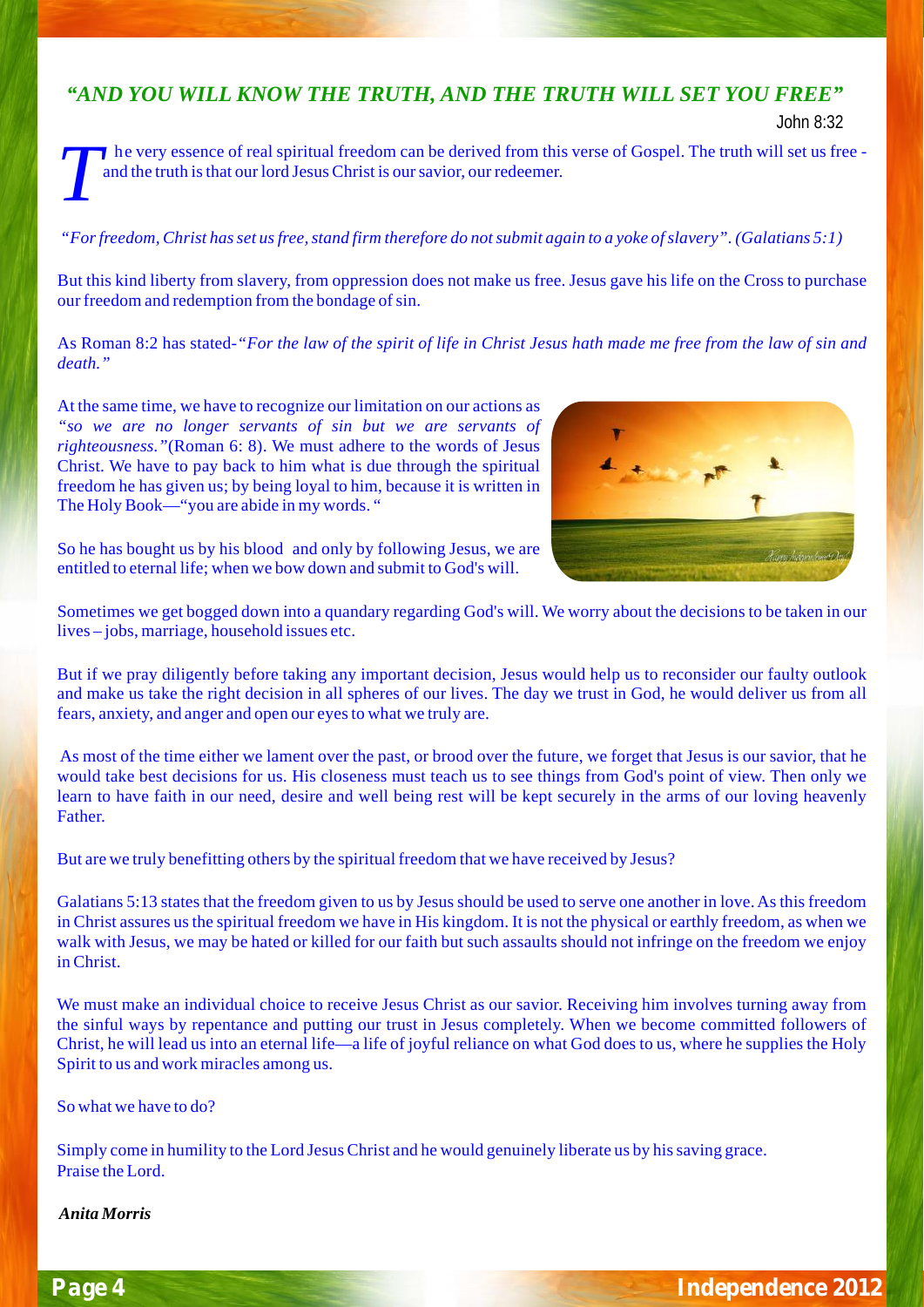### *"AND YOU WILL KNOW THE TRUTH, AND THE TRUTH WILL SET YOU FREE"*

John 8:32

he very essence of real spiritual freedom can be derived from this verse of Gospel. The truth will set us free and the truth is that our lord Jesus Christ is our savior, our redeemer.

#### *"Forfreedom, Christ hasset usfree,stand firm therefore do notsubmit again to a yoke ofslavery". (Galatians 5:1)*

But this kind liberty from slavery, from oppression does not make us free. Jesus gave his life on the Cross to purchase our freedom and redemption from the bondage of sin.

As Roman 8:2 has stated-*"For the law of the spirit of life in Christ Jesus hath made me free from the law of sin and death."*

At the same time, we have to recognize our limitation on our actions as *"so we are no longer servants of sin but we are servants of righteousness."*(Roman 6: 8). We must adhere to the words of Jesus Christ. We have to pay back to him what is due through the spiritual freedom he has given us; by being loyal to him, because it is written in The Holy Book—"you are abide in my words. "



So he has bought us by his blood and only by following Jesus, we are entitled to eternal life; when we bow down and submit to God's will.

Sometimes we get bogged down into a quandary regarding God's will. We worry about the decisions to be taken in our lives – jobs, marriage, household issues etc.

But if we pray diligently before taking any important decision, Jesus would help us to reconsider our faulty outlook and make us take the right decision in all spheres of our lives. The day we trust in God, he would deliver us from all fears, anxiety, and anger and open our eyesto what we truly are.

As most of the time either we lament over the past, or brood over the future, we forget that Jesus is our savior, that he would take best decisions for us. His closeness must teach us to see things from God's point of view. Then only we learn to have faith in our need, desire and well being rest will be kept securely in the arms of our loving heavenly Father.

But are we truly benefitting others by the spiritual freedom that we have received by Jesus?

Galatians 5:13 states that the freedom given to us by Jesus should be used to serve one another in love.As this freedom in Christ assures usthe spiritual freedom we have in His kingdom. It is not the physical or earthly freedom, as when we walk with Jesus, we may be hated or killed for our faith but such assaults should not infringe on the freedom we enjoy in Christ.

We must make an individual choice to receive Jesus Christ as our savior. Receiving him involves turning away from the sinful ways by repentance and putting our trust in Jesus completely. When we become committed followers of Christ, he will lead us into an eternal life—a life of joyful reliance on what God does to us, where he supplies the Holy Spirit to us and work miracles among us.

So what we have to do?

Simply come in humility to the Lord Jesus Christ and he would genuinely liberate us by hissaving grace. Praise the Lord.

*Anita Morris*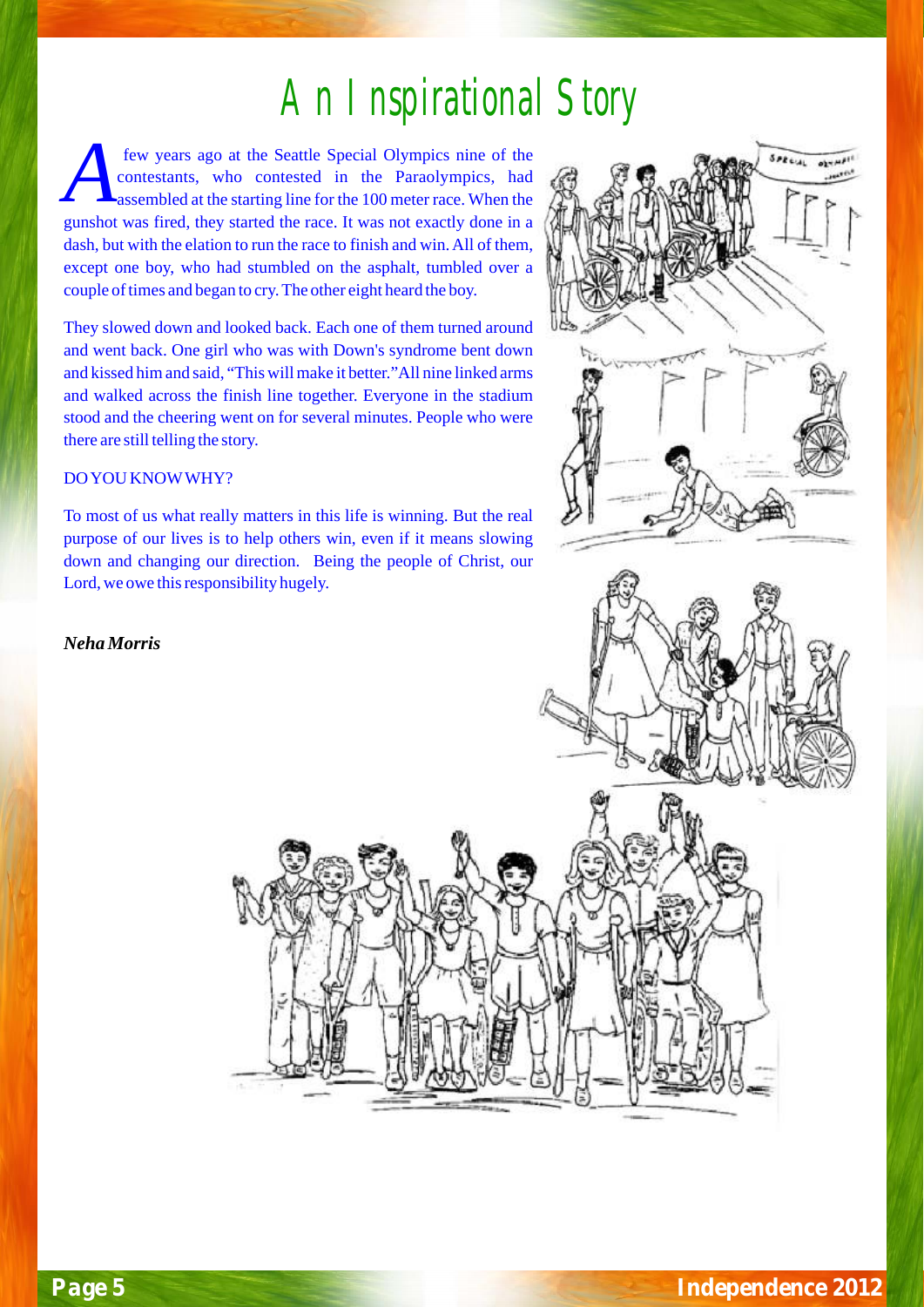## An Inspirational Story

few years ago at the Seattle Special Olympics nine of the contestants, who contested in the Paraolympics, had assembled at the starting line for the 100 meter race. When the gunshot was fired, they started the race. It was not exactly done in a dash, but with the elation to run the race to finish and win. All of them, except one boy, who had stumbled on the asphalt, tumbled over a couple of times and began to cry. The other eight heard the boy.

They slowed down and looked back. Each one of them turned around and went back. One girl who was with Down's syndrome bent down and kissed him and said, "This will make it better."All nine linked arms and walked across the finish line together. Everyone in the stadium stood and the cheering went on for several minutes. People who were there are still telling the story.

#### DO YOU KNOWWHY?

To most of us what really matters in this life is winning. But the real purpose of our lives is to help others win, even if it means slowing down and changing our direction. Being the people of Christ, our Lord, we owe this responsibility hugely.

*Neha Morris* 



 $s_{PRE}$ 

abs.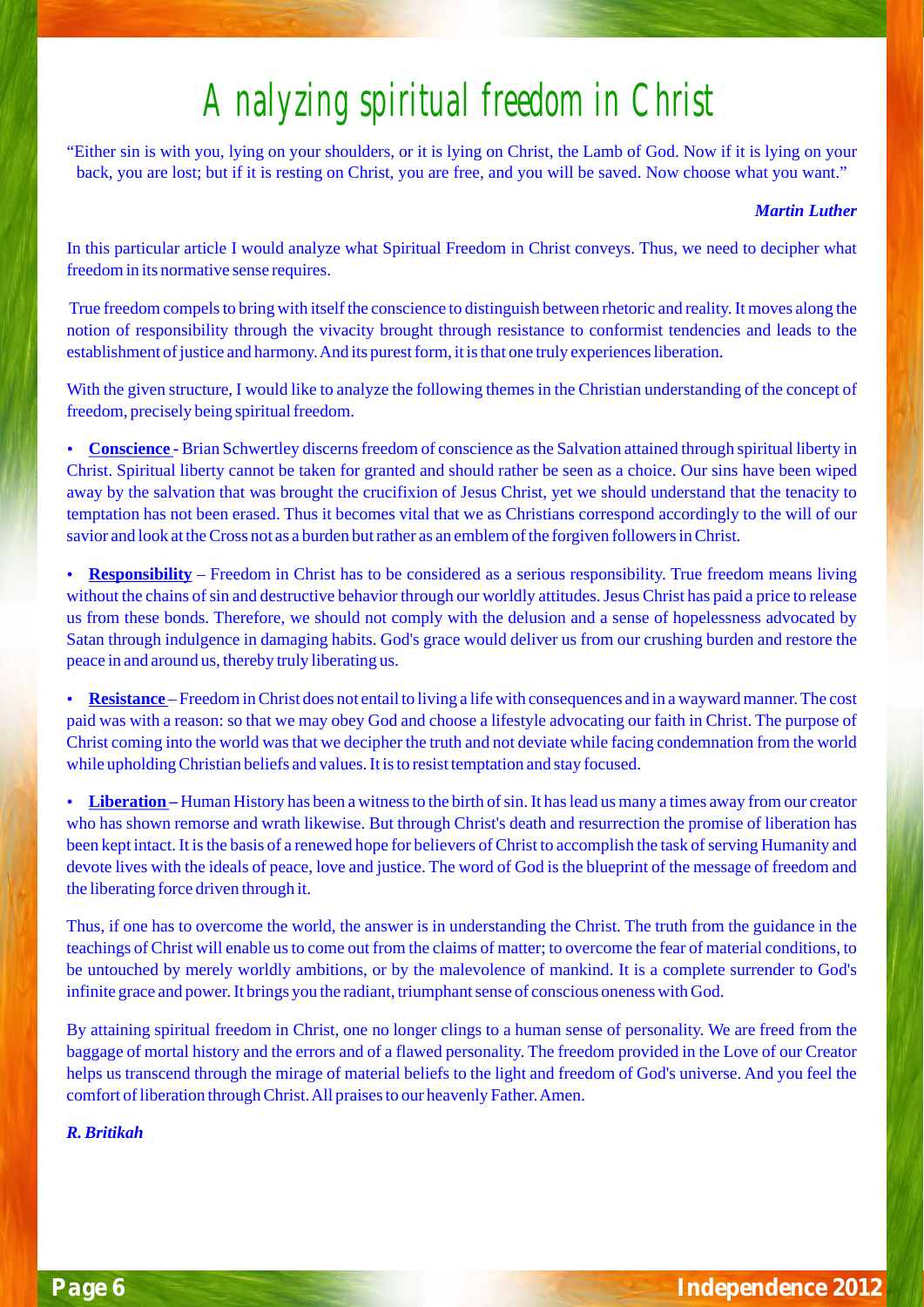## Analyzing spiritual freedom in Christ

"Either sin is with you, lying on your shoulders, or it is lying on Christ, the Lamb of God. Now if it is lying on your back, you are lost; but if it is resting on Christ, you are free, and you will be saved. Now choose what you want."

#### *Martin Luther*

In this particular article I would analyze what Spiritual Freedom in Christ conveys. Thus, we need to decipher what freedom in its normative sense requires.

True freedom compels to bring with itself the conscience to distinguish between rhetoric and reality. It moves along the notion of responsibility through the vivacity brought through resistance to conformist tendencies and leads to the establishment of justice and harmony. And its purest form, it is that one truly experiences liberation.

With the given structure, I would like to analyze the following themes in the Christian understanding of the concept of

freedom, precisely being spiritual freedom.<br>• <mark>Conscience -</mark> Brian Schwertley discerns freedom of conscience as the Salvation attained through spiritual liberty in Christ. Spiritual liberty cannot be taken for granted and should rather be seen as a choice. Our sins have been wiped away by the salvation that was brought the crucifixion of Jesus Christ, yet we should understand that the tenacity to temptation has not been erased. Thus it becomes vital that we as Christians correspond accordingly to the will of our

?savior and look at the Cross not as a burden but rather as an emblem of the forgiven followers in Christ. **Responsibility** – Freedom in Christ has to be considered as a serious responsibility. True freedom means living without the chains of sin and destructive behavior through our worldly attitudes. Jesus Christ has paid a price to release us from these bonds. Therefore, we should not comply with the delusion and a sense of hopelessness advocated by Satan through indulgence in damaging habits. God's grace would deliver us from our crushing burden and restore the peace in and around us, thereby truly liberating us.<br>• Resistance – Freedom in Christ does not entail

**Resistance** – Freedom in Christ does not entail to living a life with consequences and in a wayward manner. The cost paid was with a reason: so that we may obey God and choose a lifestyle advocating our faith in Christ. The purpose of Christ coming into the world was that we decipher the truth and not deviate while facing condemnation from the world

while upholding Christian beliefs and values. It is to resist temptation and stay focused.<br>• <mark>Liberation</mark> – Human History has been a witness to the birth of sin. It has lead us many a times away from our creator who has shown remorse and wrath likewise. But through Christ's death and resurrection the promise of liberation has been kept intact. It is the basis of a renewed hope for believers of Christ to accomplish the task of serving Humanity and devote lives with the ideals of peace, love and justice. The word of God is the blueprint of the message of freedom and the liberating force driven through it.

Thus, if one has to overcome the world, the answer is in understanding the Christ. The truth from the guidance in the teachings of Christ will enable us to come out from the claims of matter; to overcome the fear of material conditions, to be untouched by merely worldly ambitions, or by the malevolence of mankind. It is a complete surrender to God's infinite grace and power. It brings you the radiant, triumphant sense of conscious oneness with God.

By attaining spiritual freedom in Christ, one no longer clings to a human sense of personality. We are freed from the baggage of mortal history and the errors and of a flawed personality. The freedom provided in the Love of our Creator helps us transcend through the mirage of material beliefs to the light and freedom of God's universe. And you feel the comfort of liberation through Christ. All praises to our heavenly Father. Amen.

*R. Britikah*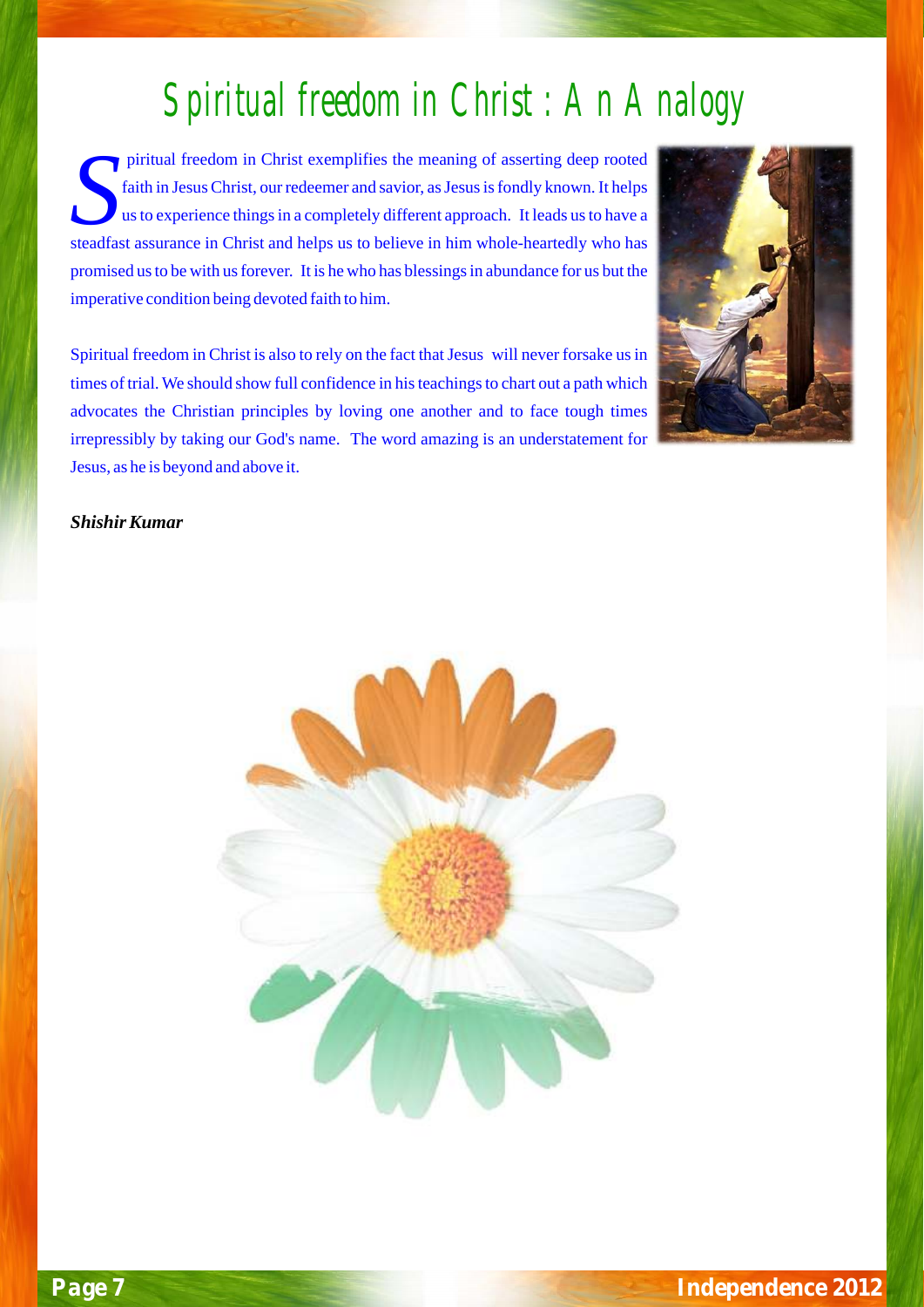## Spiritual freedom in Christ : An Analogy

piritual freedom in Christ exemplifies the meaning of asserting deep rooted faith in Jesus Christ, our redeemer and savior, as Jesus is fondly known. It helps us to experience things in a completely different approach. It leads us to have a steadfast assurance in Christ and helps us to believe in him whole-heartedly who has promised us to be with us forever. It is he who has blessings in abundance for us but the imperative condition being devoted faith to him.

Spiritual freedom in Christ is also to rely on the fact that Jesus will never forsake us in times of trial. We should show full confidence in his teachings to chart out a path which advocates the Christian principles by loving one another and to face tough times irrepressibly by taking our God's name. The word amazing is an understatement for Jesus, as he is beyond and above it.



#### *Shishir Kumar*

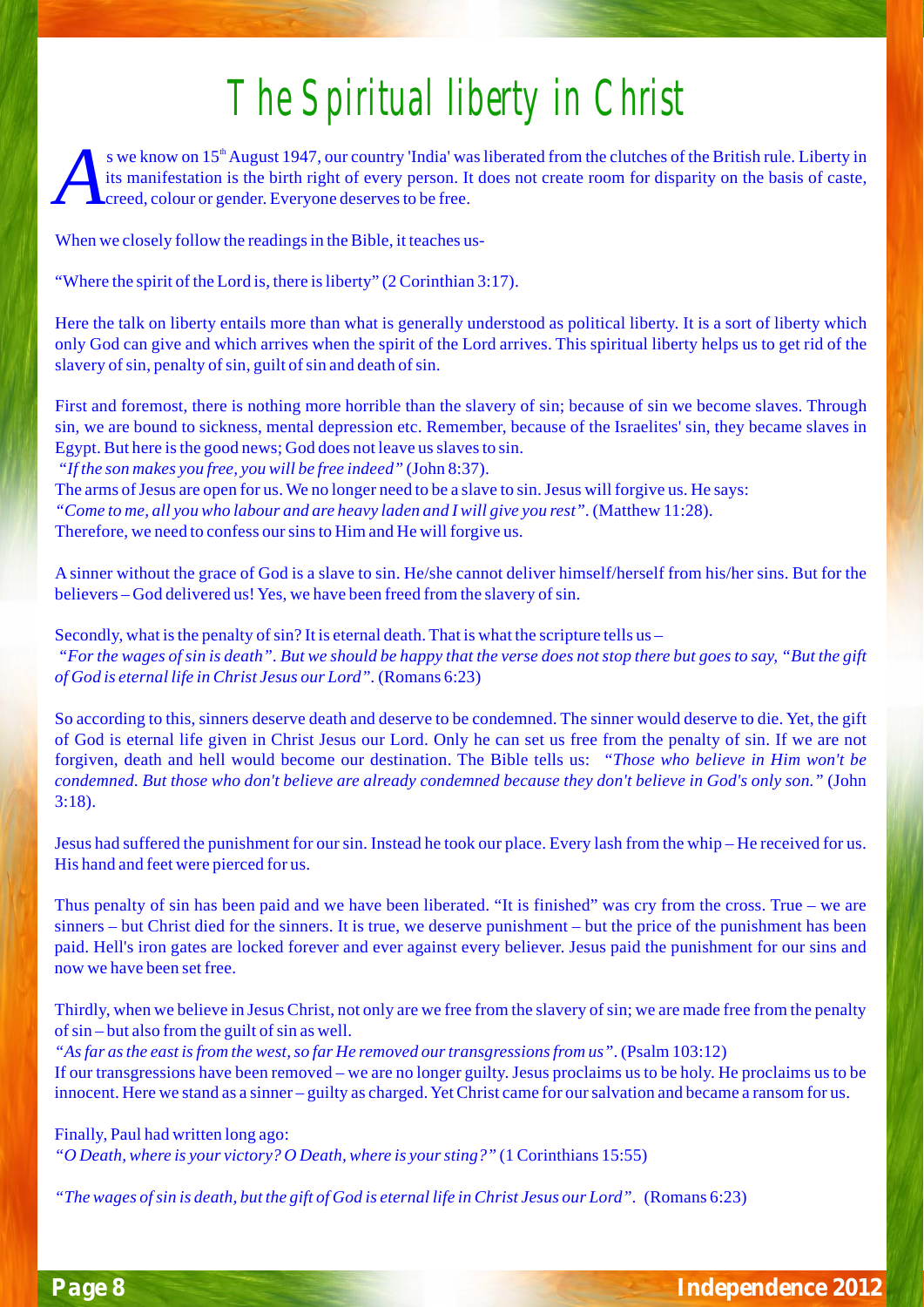# The Spiritual liberty in Christ

s we know on 15<sup>th</sup> August 1947, our country 'India' was liberated from the clutches of the British rule. Liberty in its manifestation is the birth right of every person. It does not create room for disparity on the basis of caste,  $\sf{L}$  creed, colour or gender. Everyone deserves to be free.

When we closely follow the readings in the Bible, it teaches us-

"Where the spirit of the Lord is, there is liberty" (2 Corinthian 3:17).

Here the talk on liberty entails more than what is generally understood as political liberty. It is a sort of liberty which only God can give and which arrives when the spirit of the Lord arrives. This spiritual liberty helps us to get rid of the slavery of sin, penalty of sin, guilt of sin and death of sin.

First and foremost, there is nothing more horrible than the slavery of sin; because of sin we become slaves. Through sin, we are bound to sickness, mental depression etc. Remember, because of the Israelites' sin, they became slaves in Egypt. But here is the good news; God does not leave us slaves to sin.

*"If the son makes you free, you will be free indeed"* (John 8:37).

The arms of Jesus are open for us. We no longer need to be a slave to sin. Jesus will forgive us. He says: *"Come to me, all you who labour and are heavy laden and I will give you rest".* (Matthew 11:28). Therefore, we need to confess our sins to Him and He will forgive us.

A sinner without the grace of God is a slave to sin. He/she cannot deliver himself/herself from his/her sins. But for the believers – God delivered us! Yes, we have been freed from the slavery of sin.

Secondly, what is the penalty of  $sin$ ? It is eternal death. That is what the scripture tells us – "For the wages of sin is death". But we should be happy that the verse does not stop there but goes to say, "But the gift *of God is eternal life in Christ Jesus our Lord".* (Romans 6:23)

So according to this, sinners deserve death and deserve to be condemned. The sinner would deserve to die. Yet, the gift of God is eternal life given in Christ Jesus our Lord. Only he can set us free from the penalty of sin. If we are not forgiven, death and hell would become our destination. The Bible tells us: *"Those who believe in Him won't be* condemned. But those who don't believe are already condemned because they don't believe in God's only son." (John 3:18).

Jesus had suffered the punishment for oursin. Instead he took our place. Every lash from the whip – He received for us. His hand and feet were pierced for us.

Thus penalty of sin has been paid and we have been liberated. "It is finished" was cry from the cross. True – we are sinners – but Christ died for the sinners. It is true, we deserve punishment – but the price of the punishment has been paid. Hell's iron gates are locked forever and ever against every believer. Jesus paid the punishment for our sins and now we have been set free.

Thirdly, when we believe in Jesus Christ, not only are we free from the slavery ofsin; we are made free from the penalty of  $sin$  – but also from the guilt of  $sin$  as well.

*"Asfar asthe east isfrom the west,so far He removed ourtransgressionsfrom us"*. (Psalm 103:12) If our transgressions have been removed – we are no longer guilty. Jesus proclaims us to be holy. He proclaims us to be innocent. Here we stand as a sinner – guilty as charged. Yet Christ came for our salvation and became a ransom for us.

Finally, Paul had written long ago: *"O Death, where is your victory? O Death, where is yoursting?"* (1 Corinthians 15:55)

"The wages of sin is death, but the gift of God is eternal life in Christ Jesus our Lord". (Romans 6:23)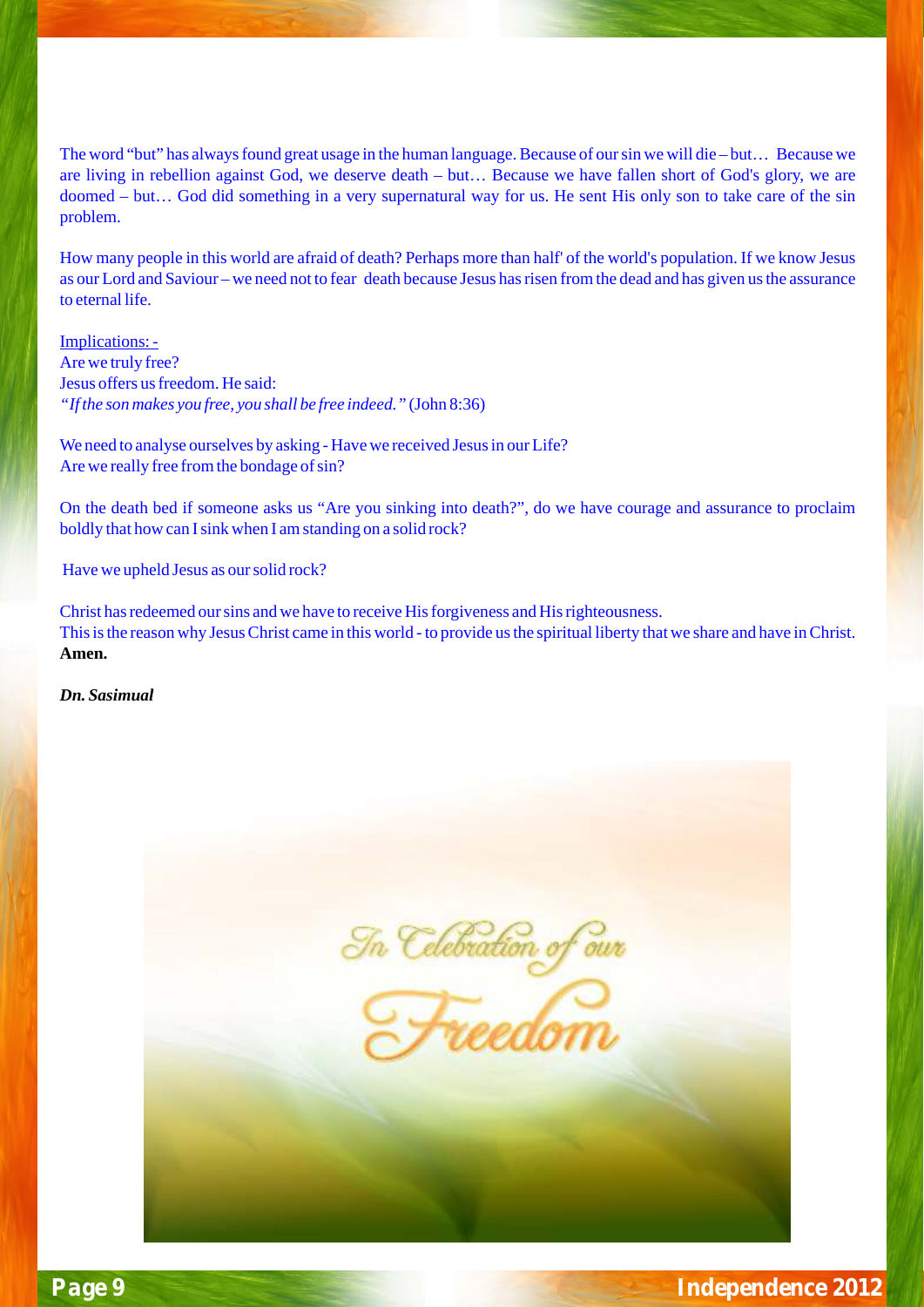The word "but" has always found great usage in the human language. Because of our sin we will die – but… Because we are living in rebellion against God, we deserve death – but… Because we have fallen short of God's glory, we are doomed – but… God did something in a very supernatural way for us. He sent His only son to take care of the sin problem.

How many people in this world are afraid of death? Perhaps more than half' of the world's population. If we know Jesus as our Lord and Saviour – we need not to fear death because Jesus has risen from the dead and has given us the assurance to eternal life.

Implications: - Are we truly free? Jesus offers us freedom. He said: *"If the son makes you free, you shall be free indeed."* (John 8:36)

We need to analyse ourselves by asking - Have we received Jesus in our Life? Are we really free from the bondage of sin?

On the death bed if someone asks us "Are you sinking into death?", do we have courage and assurance to proclaim boldly that how can I sink when I am standing on a solid rock?

Have we upheld Jesus as our solid rock?

Christ has redeemed our sins and we have to receive His forgiveness and His righteousness. This is the reason why Jesus Christ came in this world - to provide us the spiritual liberty that we share and have in Christ. **Amen.** 

*Dn. Sasimual* 

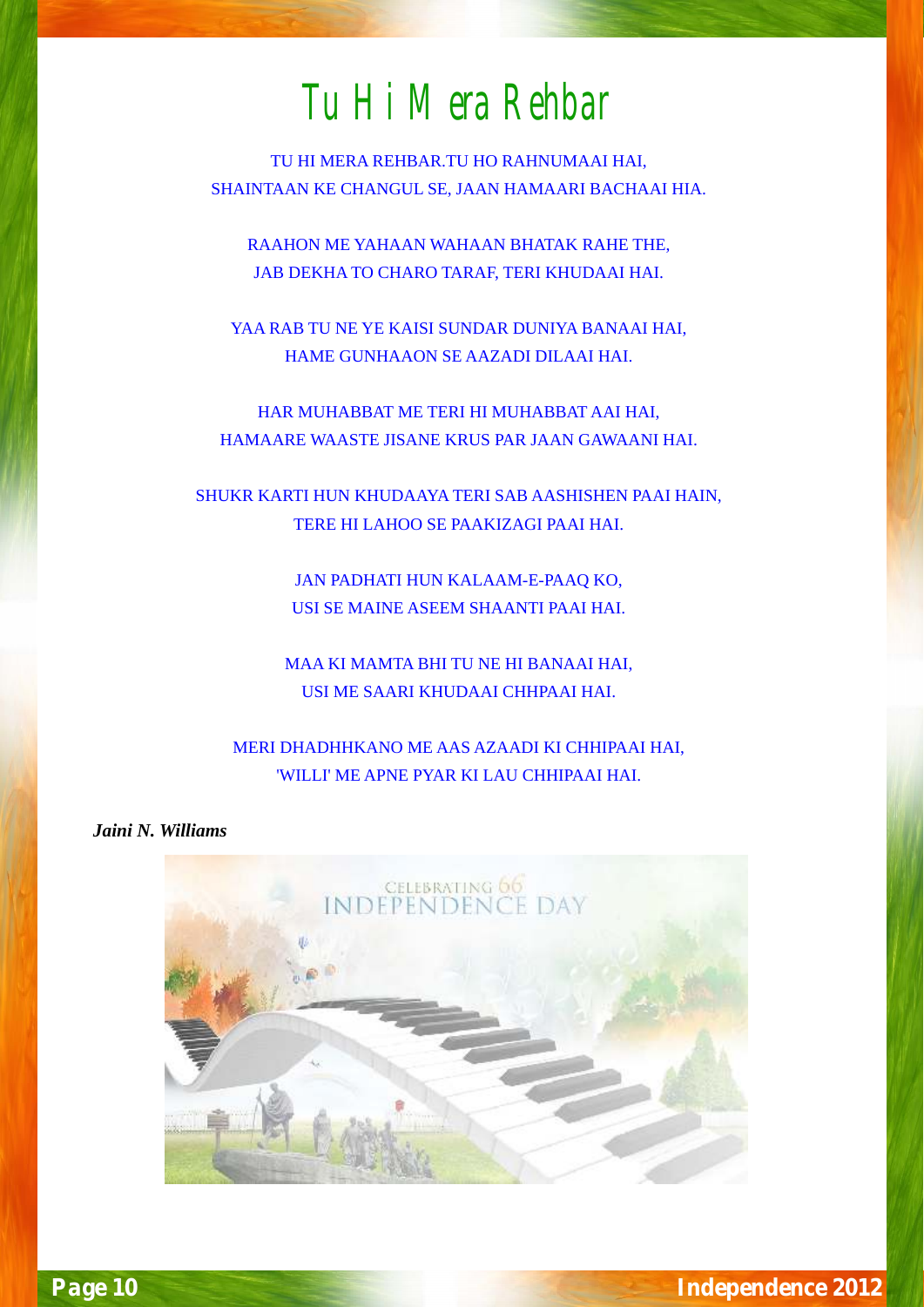## Tu Hi Mera Rehbar

TU HI MERA REHBAR.TU HO RAHNUMAAI HAI, SHAINTAAN KE CHANGUL SE, JAAN HAMAARI BACHAAI HIA.

RAAHON ME YAHAAN WAHAAN BHATAK RAHE THE, JAB DEKHA TO CHARO TARAF, TERI KHUDAAI HAI.

YAA RAB TU NE YE KAISI SUNDAR DUNIYA BANAAI HAI, HAME GUNHAAON SE AAZADI DILAAI HAI.

HAR MUHABBAT ME TERI HI MUHABBAT AAI HAI, HAMAARE WAASTE JISANE KRUS PAR JAAN GAWAANI HAI.

SHUKR KARTI HUN KHUDAAYA TERI SAB AASHISHEN PAAI HAIN, TERE HI LAHOO SE PAAKIZAGI PAAI HAI.

> JAN PADHATI HUN KALAAM-E-PAAQ KO, USI SE MAINE ASEEM SHAANTI PAAI HAI.

MAA KI MAMTA BHI TU NE HI BANAAI HAI, USI ME SAARI KHUDAAI CHHPAAI HAI.

MERI DHADHHKANO ME AAS AZAADI KI CHHIPAAI HAI, 'WILLI' ME APNE PYAR KI LAU CHHIPAAI HAI.

 *Jaini N. Williams*

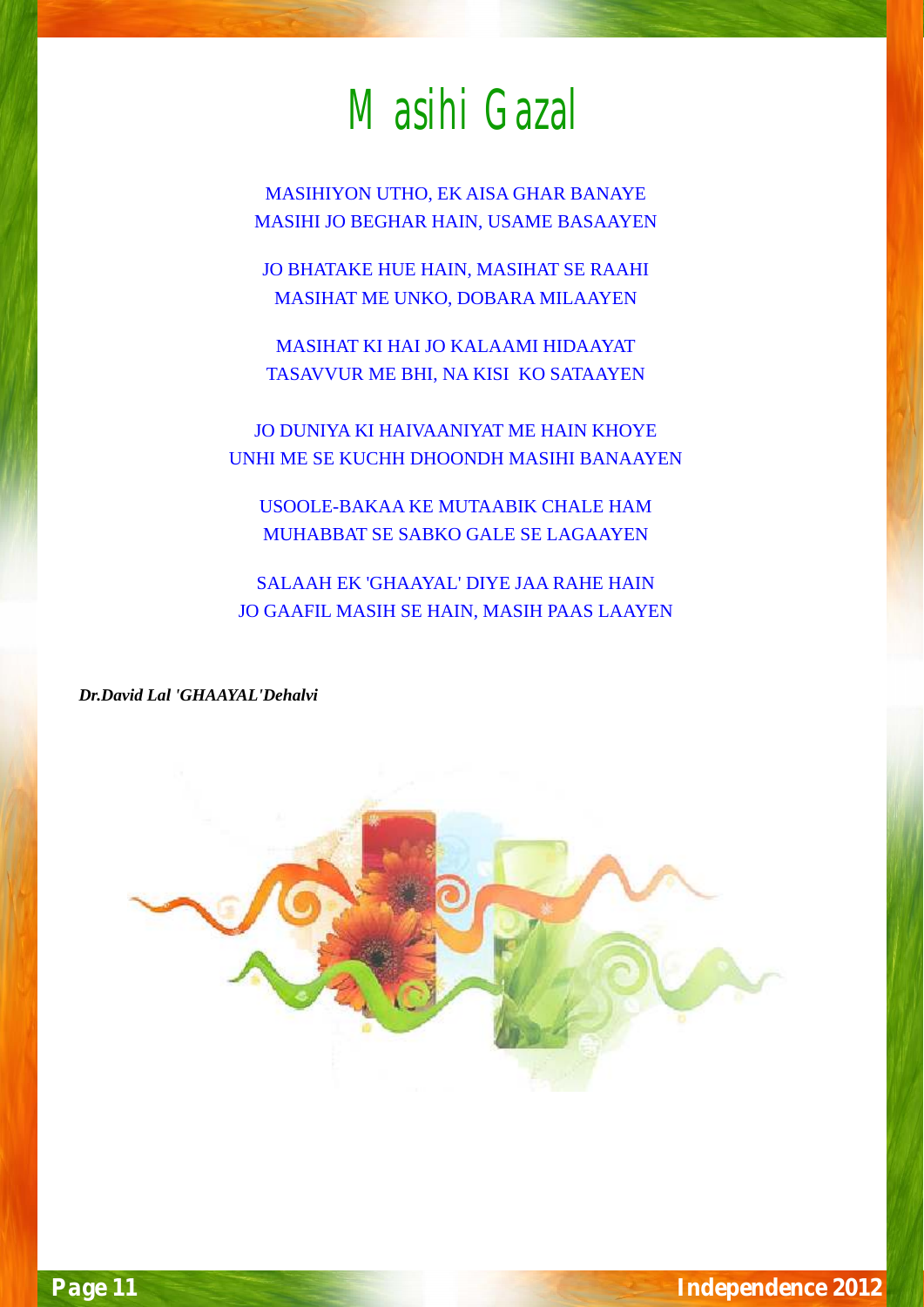# Masihi Gazal

MASIHIYON UTHO, EK AISA GHAR BANAYE MASIHI JO BEGHAR HAIN, USAME BASAAYEN

JO BHATAKE HUE HAIN, MASIHAT SE RAAHI MASIHAT ME UNKO, DOBARA MILAAYEN

MASIHAT KI HAI JO KALAAMI HIDAAYAT TASAVVUR ME BHI, NA KISI KO SATAAYEN

JO DUNIYA KI HAIVAANIYAT ME HAIN KHOYE UNHI ME SE KUCHH DHOONDH MASIHI BANAAYEN

USOOLE-BAKAA KE MUTAABIK CHALE HAM MUHABBAT SE SABKO GALE SE LAGAAYEN

SALAAH EK 'GHAAYAL' DIYE JAA RAHE HAIN JO GAAFIL MASIH SE HAIN, MASIH PAAS LAAYEN

*Dr.David Lal 'GHAAYAL'Dehalvi*